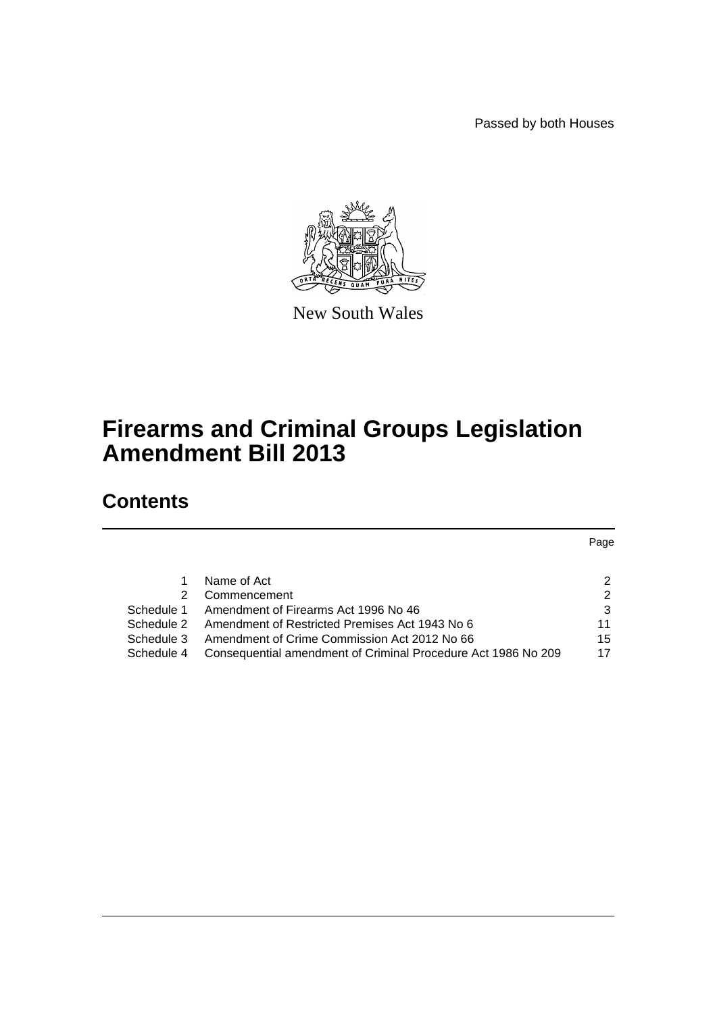Passed by both Houses



New South Wales

# **Firearms and Criminal Groups Legislation Amendment Bill 2013**

# **Contents**

Page

|               | Name of Act                                                              | $\mathcal{P}$ |
|---------------|--------------------------------------------------------------------------|---------------|
| $\mathcal{P}$ | Commencement                                                             | $\mathcal{P}$ |
|               | Schedule 1 Amendment of Firearms Act 1996 No 46                          | 3             |
|               | Schedule 2 Amendment of Restricted Premises Act 1943 No 6                | 11            |
|               | Schedule 3 Amendment of Crime Commission Act 2012 No 66                  | 15            |
|               | Schedule 4 Consequential amendment of Criminal Procedure Act 1986 No 209 | 17            |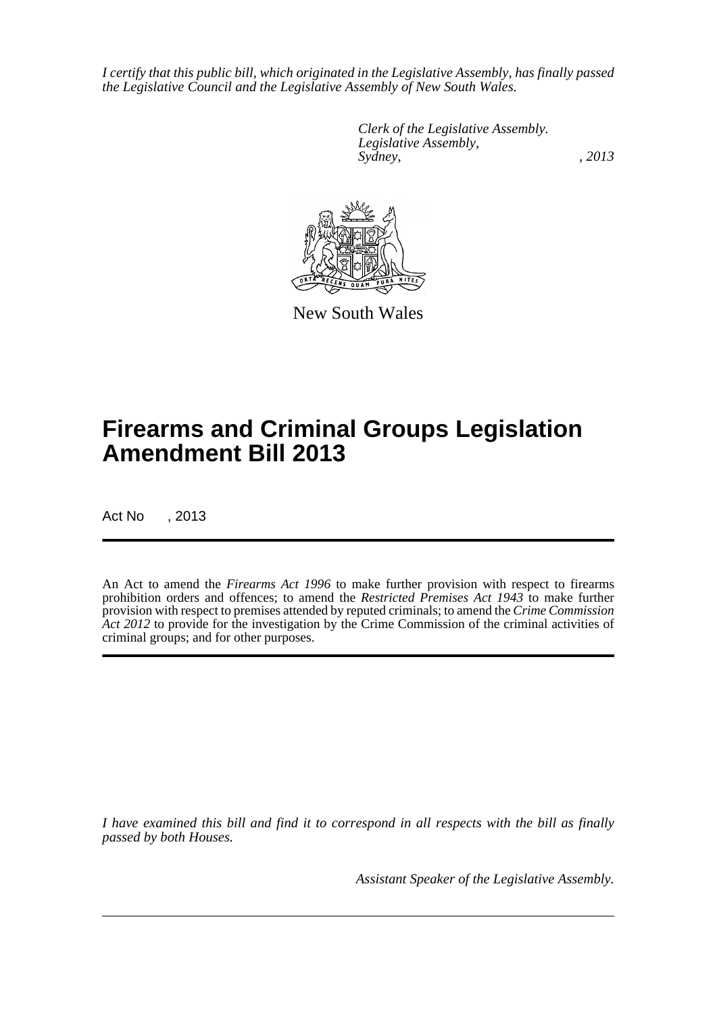*I certify that this public bill, which originated in the Legislative Assembly, has finally passed the Legislative Council and the Legislative Assembly of New South Wales.*

> *Clerk of the Legislative Assembly. Legislative Assembly, Sydney, , 2013*



New South Wales

# **Firearms and Criminal Groups Legislation Amendment Bill 2013**

Act No , 2013

An Act to amend the *Firearms Act 1996* to make further provision with respect to firearms prohibition orders and offences; to amend the *Restricted Premises Act 1943* to make further provision with respect to premises attended by reputed criminals; to amend the *Crime Commission* Act 2012 to provide for the investigation by the Crime Commission of the criminal activities of criminal groups; and for other purposes.

*I have examined this bill and find it to correspond in all respects with the bill as finally passed by both Houses.*

*Assistant Speaker of the Legislative Assembly.*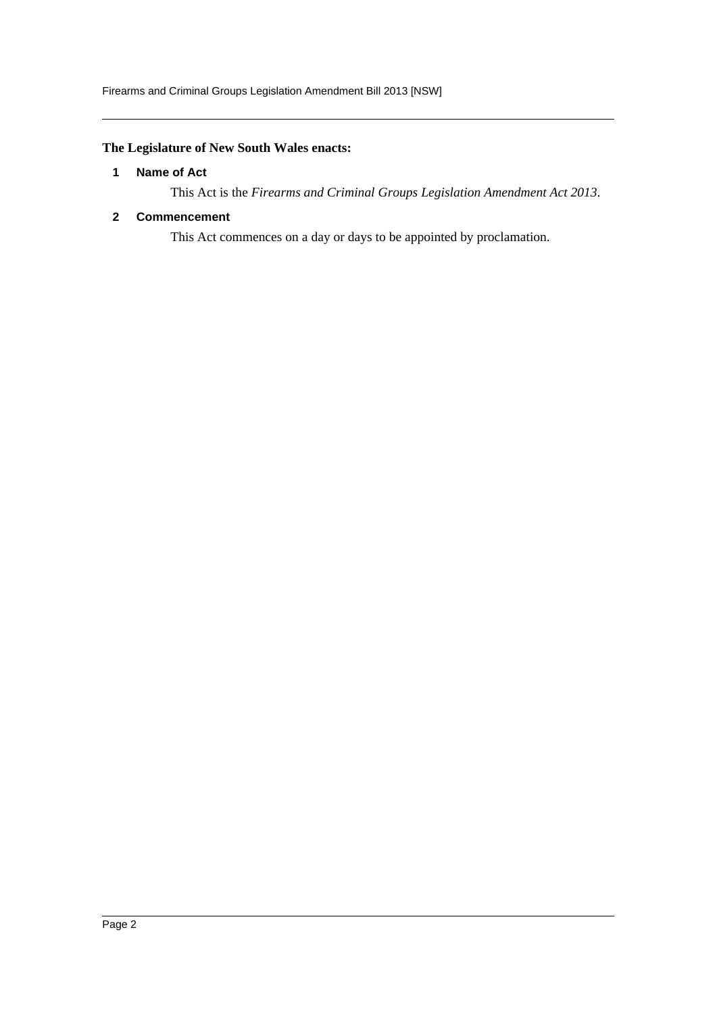## <span id="page-2-0"></span>**The Legislature of New South Wales enacts:**

## **1 Name of Act**

This Act is the *Firearms and Criminal Groups Legislation Amendment Act 2013*.

## <span id="page-2-1"></span>**2 Commencement**

This Act commences on a day or days to be appointed by proclamation.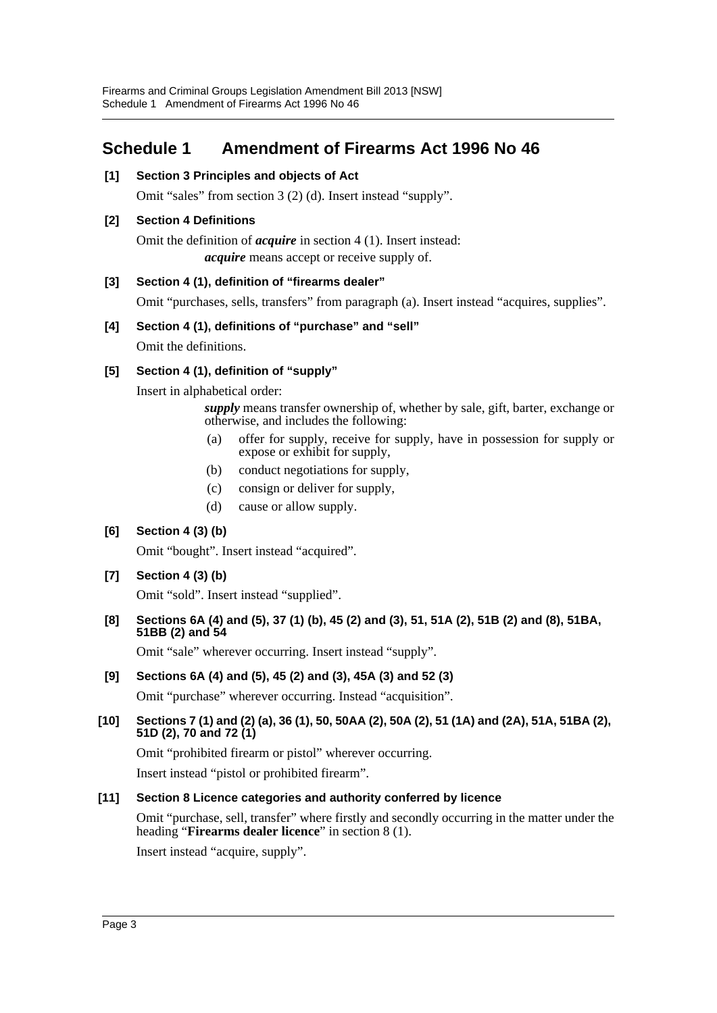## <span id="page-3-0"></span>**Schedule 1 Amendment of Firearms Act 1996 No 46**

## **[1] Section 3 Principles and objects of Act**

Omit "sales" from section 3 (2) (d). Insert instead "supply".

## **[2] Section 4 Definitions**

Omit the definition of *acquire* in section 4 (1). Insert instead: *acquire* means accept or receive supply of.

## **[3] Section 4 (1), definition of "firearms dealer"**

Omit "purchases, sells, transfers" from paragraph (a). Insert instead "acquires, supplies".

## **[4] Section 4 (1), definitions of "purchase" and "sell"**

Omit the definitions.

## **[5] Section 4 (1), definition of "supply"**

Insert in alphabetical order:

*supply* means transfer ownership of, whether by sale, gift, barter, exchange or otherwise, and includes the following:

- (a) offer for supply, receive for supply, have in possession for supply or expose or exhibit for supply,
- (b) conduct negotiations for supply,
- (c) consign or deliver for supply,
- (d) cause or allow supply.

## **[6] Section 4 (3) (b)**

Omit "bought". Insert instead "acquired".

## **[7] Section 4 (3) (b)**

Omit "sold". Insert instead "supplied".

## **[8] Sections 6A (4) and (5), 37 (1) (b), 45 (2) and (3), 51, 51A (2), 51B (2) and (8), 51BA, 51BB (2) and 54**

Omit "sale" wherever occurring. Insert instead "supply".

## **[9] Sections 6A (4) and (5), 45 (2) and (3), 45A (3) and 52 (3)**

Omit "purchase" wherever occurring. Instead "acquisition".

## **[10] Sections 7 (1) and (2) (a), 36 (1), 50, 50AA (2), 50A (2), 51 (1A) and (2A), 51A, 51BA (2), 51D (2), 70 and 72 (1)**

Omit "prohibited firearm or pistol" wherever occurring.

Insert instead "pistol or prohibited firearm".

## **[11] Section 8 Licence categories and authority conferred by licence**

Omit "purchase, sell, transfer" where firstly and secondly occurring in the matter under the heading "**Firearms dealer licence**" in section 8 (1).

Insert instead "acquire, supply".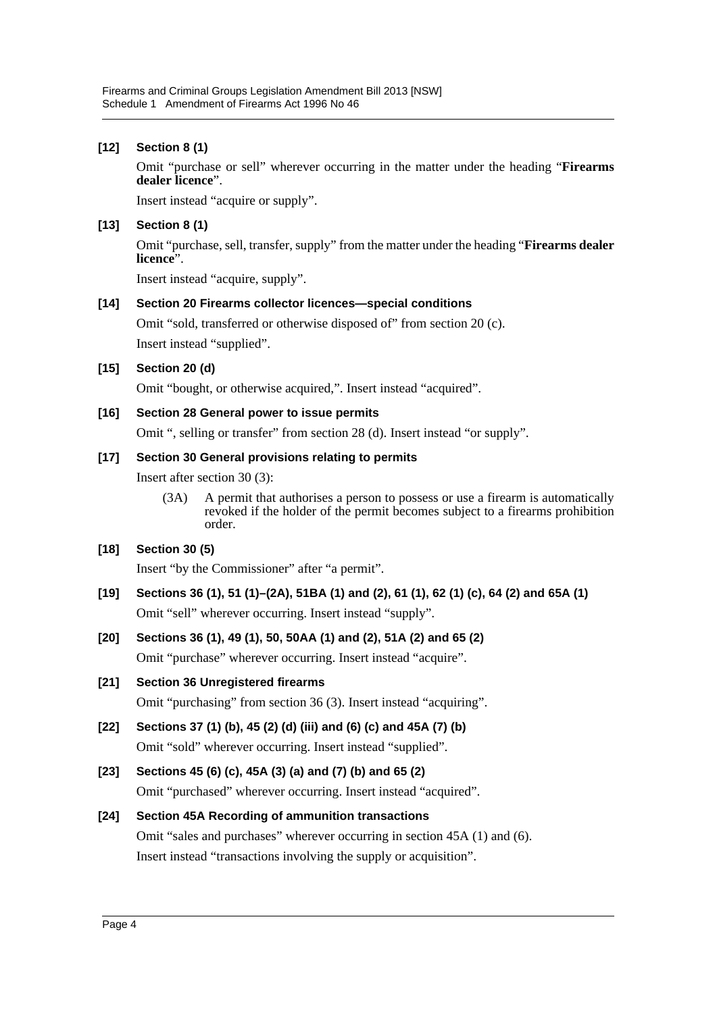## **[12] Section 8 (1)**

Omit "purchase or sell" wherever occurring in the matter under the heading "**Firearms dealer licence**".

Insert instead "acquire or supply".

## **[13] Section 8 (1)**

Omit "purchase, sell, transfer, supply" from the matter under the heading "**Firearms dealer licence**".

Insert instead "acquire, supply".

## **[14] Section 20 Firearms collector licences—special conditions**

Omit "sold, transferred or otherwise disposed of" from section 20 (c). Insert instead "supplied".

## **[15] Section 20 (d)**

Omit "bought, or otherwise acquired,". Insert instead "acquired".

## **[16] Section 28 General power to issue permits**

Omit ", selling or transfer" from section 28 (d). Insert instead "or supply".

## **[17] Section 30 General provisions relating to permits**

Insert after section 30 (3):

(3A) A permit that authorises a person to possess or use a firearm is automatically revoked if the holder of the permit becomes subject to a firearms prohibition order.

## **[18] Section 30 (5)**

Insert "by the Commissioner" after "a permit".

**[19] Sections 36 (1), 51 (1)–(2A), 51BA (1) and (2), 61 (1), 62 (1) (c), 64 (2) and 65A (1)** Omit "sell" wherever occurring. Insert instead "supply".

## **[20] Sections 36 (1), 49 (1), 50, 50AA (1) and (2), 51A (2) and 65 (2)**

Omit "purchase" wherever occurring. Insert instead "acquire".

**[21] Section 36 Unregistered firearms**

Omit "purchasing" from section 36 (3). Insert instead "acquiring".

## **[22] Sections 37 (1) (b), 45 (2) (d) (iii) and (6) (c) and 45A (7) (b)** Omit "sold" wherever occurring. Insert instead "supplied".

## **[23] Sections 45 (6) (c), 45A (3) (a) and (7) (b) and 65 (2)**

Omit "purchased" wherever occurring. Insert instead "acquired".

## **[24] Section 45A Recording of ammunition transactions**

Omit "sales and purchases" wherever occurring in section 45A (1) and (6). Insert instead "transactions involving the supply or acquisition".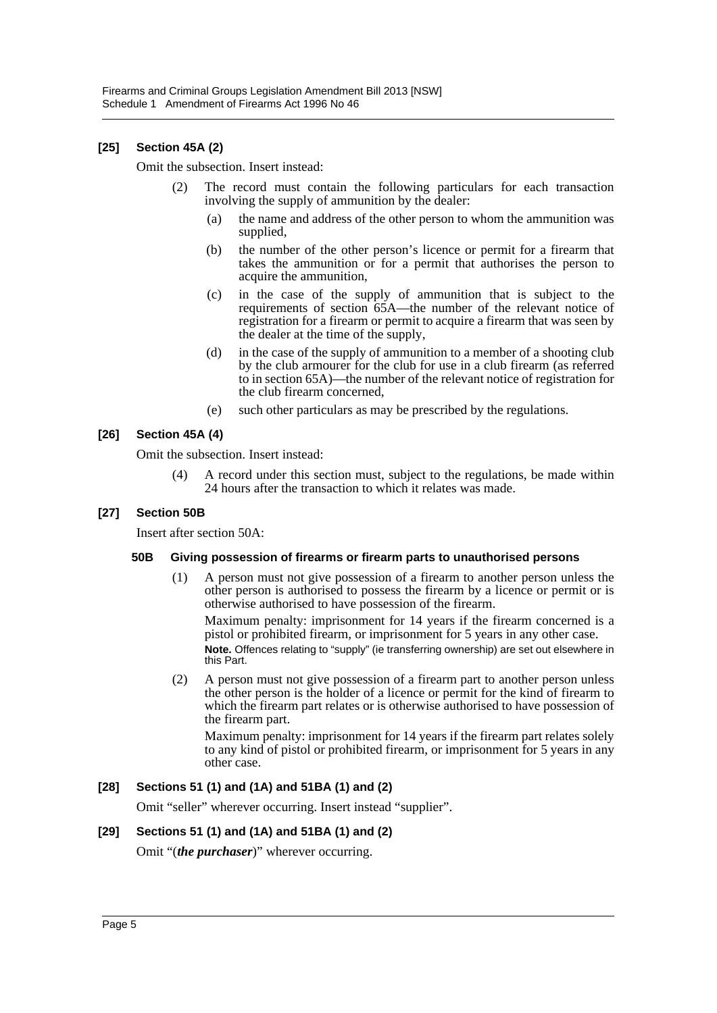## **[25] Section 45A (2)**

Omit the subsection. Insert instead:

- (2) The record must contain the following particulars for each transaction involving the supply of ammunition by the dealer:
	- (a) the name and address of the other person to whom the ammunition was supplied,
	- (b) the number of the other person's licence or permit for a firearm that takes the ammunition or for a permit that authorises the person to acquire the ammunition,
	- (c) in the case of the supply of ammunition that is subject to the requirements of section 65A—the number of the relevant notice of registration for a firearm or permit to acquire a firearm that was seen by the dealer at the time of the supply,
	- (d) in the case of the supply of ammunition to a member of a shooting club by the club armourer for the club for use in a club firearm (as referred to in section 65A)—the number of the relevant notice of registration for the club firearm concerned,
	- (e) such other particulars as may be prescribed by the regulations.

## **[26] Section 45A (4)**

Omit the subsection. Insert instead:

(4) A record under this section must, subject to the regulations, be made within 24 hours after the transaction to which it relates was made.

## **[27] Section 50B**

Insert after section 50A:

## **50B Giving possession of firearms or firearm parts to unauthorised persons**

(1) A person must not give possession of a firearm to another person unless the other person is authorised to possess the firearm by a licence or permit or is otherwise authorised to have possession of the firearm.

Maximum penalty: imprisonment for 14 years if the firearm concerned is a pistol or prohibited firearm, or imprisonment for 5 years in any other case. **Note.** Offences relating to "supply" (ie transferring ownership) are set out elsewhere in this Part.

(2) A person must not give possession of a firearm part to another person unless the other person is the holder of a licence or permit for the kind of firearm to which the firearm part relates or is otherwise authorised to have possession of the firearm part.

Maximum penalty: imprisonment for 14 years if the firearm part relates solely to any kind of pistol or prohibited firearm, or imprisonment for 5 years in any other case.

## **[28] Sections 51 (1) and (1A) and 51BA (1) and (2)**

Omit "seller" wherever occurring. Insert instead "supplier".

## **[29] Sections 51 (1) and (1A) and 51BA (1) and (2)**

Omit "(*the purchaser*)" wherever occurring.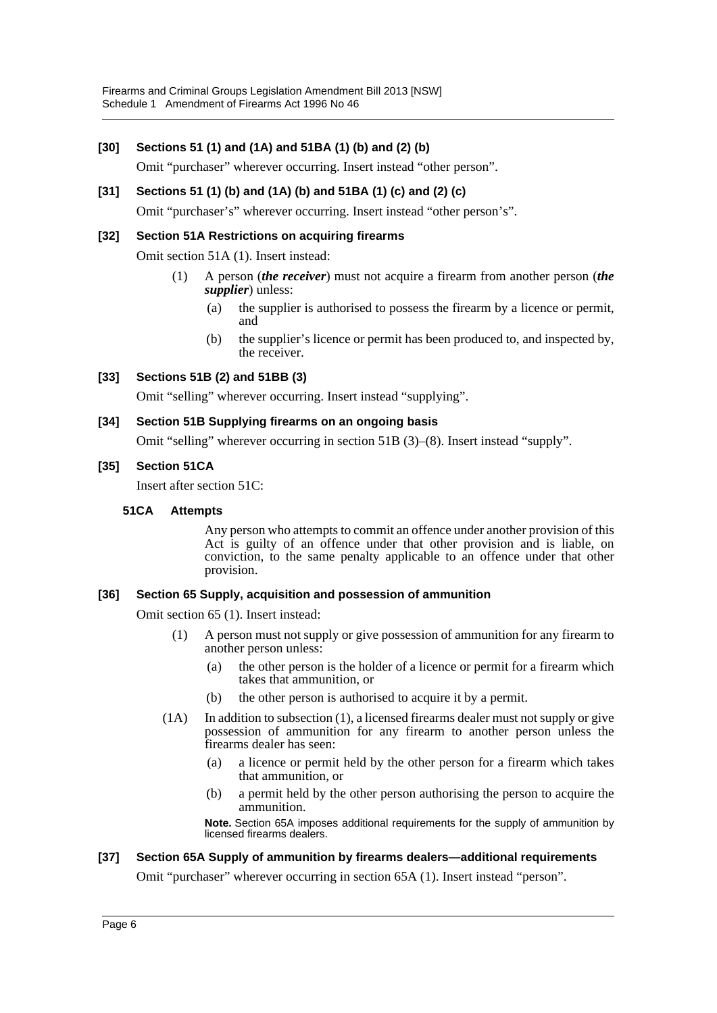## **[30] Sections 51 (1) and (1A) and 51BA (1) (b) and (2) (b)**

Omit "purchaser" wherever occurring. Insert instead "other person".

## **[31] Sections 51 (1) (b) and (1A) (b) and 51BA (1) (c) and (2) (c)**

Omit "purchaser's" wherever occurring. Insert instead "other person's".

## **[32] Section 51A Restrictions on acquiring firearms**

Omit section 51A (1). Insert instead:

- (1) A person (*the receiver*) must not acquire a firearm from another person (*the supplier*) unless:
	- (a) the supplier is authorised to possess the firearm by a licence or permit, and
	- (b) the supplier's licence or permit has been produced to, and inspected by, the receiver.

## **[33] Sections 51B (2) and 51BB (3)**

Omit "selling" wherever occurring. Insert instead "supplying".

## **[34] Section 51B Supplying firearms on an ongoing basis**

Omit "selling" wherever occurring in section 51B (3)–(8). Insert instead "supply".

#### **[35] Section 51CA**

Insert after section 51C:

#### **51CA Attempts**

Any person who attempts to commit an offence under another provision of this Act is guilty of an offence under that other provision and is liable, on conviction, to the same penalty applicable to an offence under that other provision.

#### **[36] Section 65 Supply, acquisition and possession of ammunition**

Omit section 65 (1). Insert instead:

- (1) A person must not supply or give possession of ammunition for any firearm to another person unless:
	- (a) the other person is the holder of a licence or permit for a firearm which takes that ammunition, or
	- (b) the other person is authorised to acquire it by a permit.
- (1A) In addition to subsection (1), a licensed firearms dealer must not supply or give possession of ammunition for any firearm to another person unless the firearms dealer has seen:
	- (a) a licence or permit held by the other person for a firearm which takes that ammunition, or
	- (b) a permit held by the other person authorising the person to acquire the ammunition.

**Note.** Section 65A imposes additional requirements for the supply of ammunition by licensed firearms dealers.

## **[37] Section 65A Supply of ammunition by firearms dealers—additional requirements**

Omit "purchaser" wherever occurring in section 65A (1). Insert instead "person".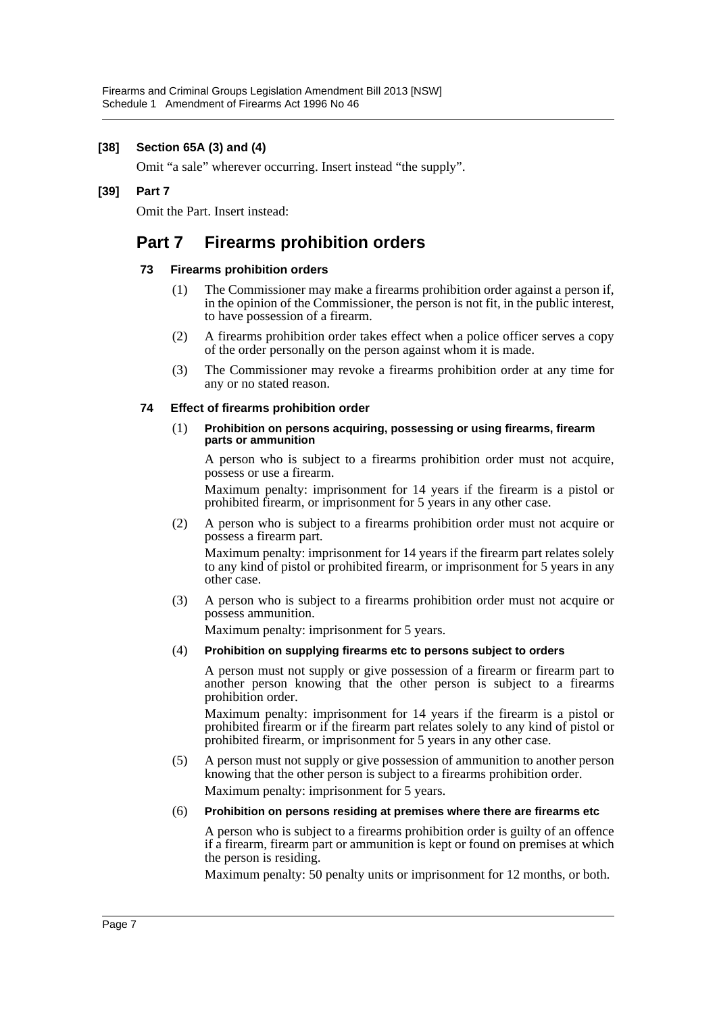## **[38] Section 65A (3) and (4)**

Omit "a sale" wherever occurring. Insert instead "the supply".

#### **[39] Part 7**

Omit the Part. Insert instead:

## **Part 7 Firearms prohibition orders**

#### **73 Firearms prohibition orders**

- (1) The Commissioner may make a firearms prohibition order against a person if, in the opinion of the Commissioner, the person is not fit, in the public interest, to have possession of a firearm.
- (2) A firearms prohibition order takes effect when a police officer serves a copy of the order personally on the person against whom it is made.
- (3) The Commissioner may revoke a firearms prohibition order at any time for any or no stated reason.

#### **74 Effect of firearms prohibition order**

#### (1) **Prohibition on persons acquiring, possessing or using firearms, firearm parts or ammunition**

A person who is subject to a firearms prohibition order must not acquire, possess or use a firearm.

Maximum penalty: imprisonment for 14 years if the firearm is a pistol or prohibited firearm, or imprisonment for 5 years in any other case.

(2) A person who is subject to a firearms prohibition order must not acquire or possess a firearm part.

Maximum penalty: imprisonment for 14 years if the firearm part relates solely to any kind of pistol or prohibited firearm, or imprisonment for 5 years in any other case.

(3) A person who is subject to a firearms prohibition order must not acquire or possess ammunition.

Maximum penalty: imprisonment for 5 years.

(4) **Prohibition on supplying firearms etc to persons subject to orders**

A person must not supply or give possession of a firearm or firearm part to another person knowing that the other person is subject to a firearms prohibition order.

Maximum penalty: imprisonment for 14 years if the firearm is a pistol or prohibited firearm or if the firearm part relates solely to any kind of pistol or prohibited firearm, or imprisonment for 5 years in any other case.

(5) A person must not supply or give possession of ammunition to another person knowing that the other person is subject to a firearms prohibition order. Maximum penalty: imprisonment for 5 years.

(6) **Prohibition on persons residing at premises where there are firearms etc**

A person who is subject to a firearms prohibition order is guilty of an offence if a firearm, firearm part or ammunition is kept or found on premises at which the person is residing.

Maximum penalty: 50 penalty units or imprisonment for 12 months, or both.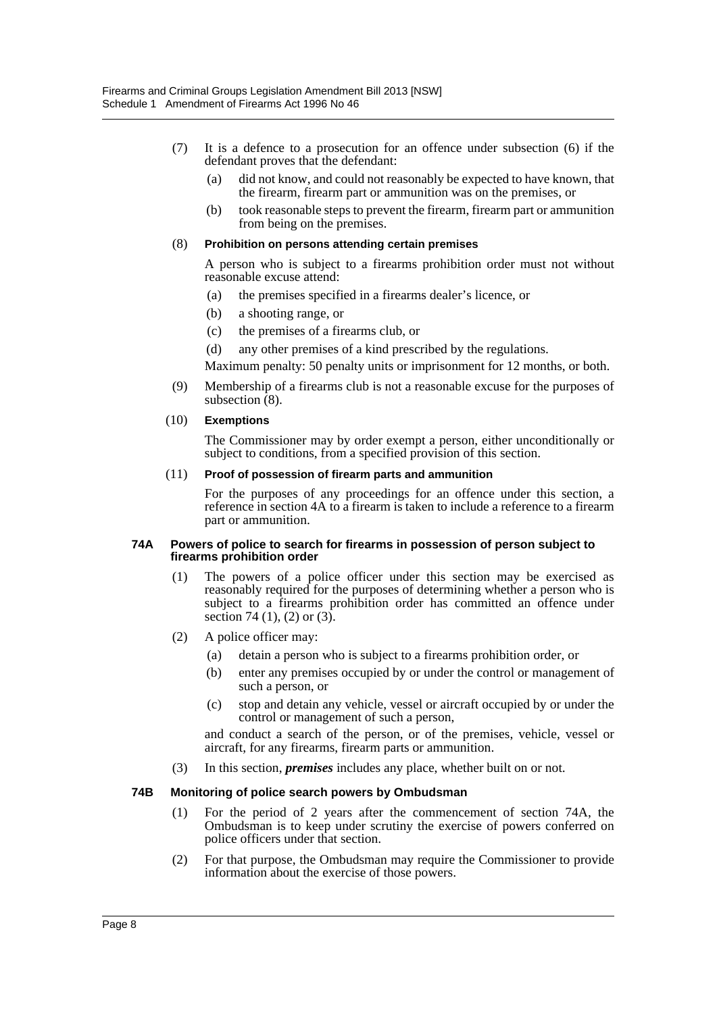- (7) It is a defence to a prosecution for an offence under subsection (6) if the defendant proves that the defendant:
	- (a) did not know, and could not reasonably be expected to have known, that the firearm, firearm part or ammunition was on the premises, or
	- (b) took reasonable steps to prevent the firearm, firearm part or ammunition from being on the premises.

#### (8) **Prohibition on persons attending certain premises**

A person who is subject to a firearms prohibition order must not without reasonable excuse attend:

- (a) the premises specified in a firearms dealer's licence, or
- (b) a shooting range, or
- (c) the premises of a firearms club, or
- (d) any other premises of a kind prescribed by the regulations.

Maximum penalty: 50 penalty units or imprisonment for 12 months, or both.

(9) Membership of a firearms club is not a reasonable excuse for the purposes of subsection  $(8)$ .

#### (10) **Exemptions**

The Commissioner may by order exempt a person, either unconditionally or subject to conditions, from a specified provision of this section.

#### (11) **Proof of possession of firearm parts and ammunition**

For the purposes of any proceedings for an offence under this section, a reference in section 4A to a firearm is taken to include a reference to a firearm part or ammunition.

#### **74A Powers of police to search for firearms in possession of person subject to firearms prohibition order**

- (1) The powers of a police officer under this section may be exercised as reasonably required for the purposes of determining whether a person who is subject to a firearms prohibition order has committed an offence under section 74 (1), (2) or  $(3)$ .
- (2) A police officer may:
	- (a) detain a person who is subject to a firearms prohibition order, or
	- (b) enter any premises occupied by or under the control or management of such a person, or
	- (c) stop and detain any vehicle, vessel or aircraft occupied by or under the control or management of such a person,

and conduct a search of the person, or of the premises, vehicle, vessel or aircraft, for any firearms, firearm parts or ammunition.

(3) In this section, *premises* includes any place, whether built on or not.

#### **74B Monitoring of police search powers by Ombudsman**

- (1) For the period of 2 years after the commencement of section 74A, the Ombudsman is to keep under scrutiny the exercise of powers conferred on police officers under that section.
- (2) For that purpose, the Ombudsman may require the Commissioner to provide information about the exercise of those powers.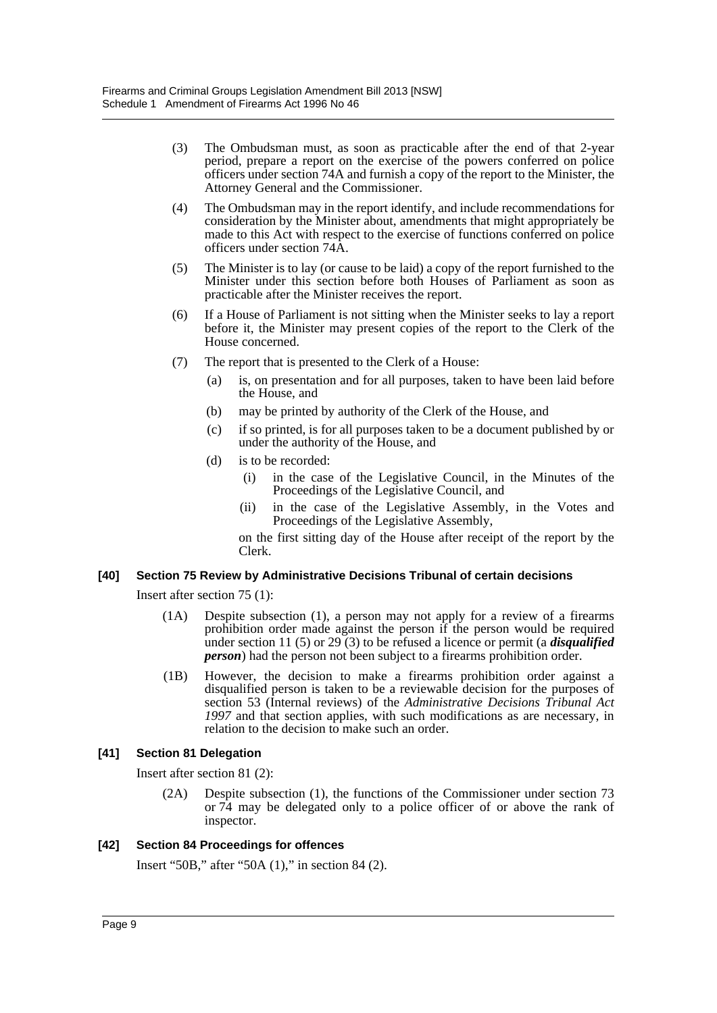- (3) The Ombudsman must, as soon as practicable after the end of that 2-year period, prepare a report on the exercise of the powers conferred on police officers under section 74A and furnish a copy of the report to the Minister, the Attorney General and the Commissioner.
- (4) The Ombudsman may in the report identify, and include recommendations for consideration by the Minister about, amendments that might appropriately be made to this Act with respect to the exercise of functions conferred on police officers under section 74A.
- (5) The Minister is to lay (or cause to be laid) a copy of the report furnished to the Minister under this section before both Houses of Parliament as soon as practicable after the Minister receives the report.
- (6) If a House of Parliament is not sitting when the Minister seeks to lay a report before it, the Minister may present copies of the report to the Clerk of the House concerned.
- (7) The report that is presented to the Clerk of a House:
	- (a) is, on presentation and for all purposes, taken to have been laid before the House, and
	- (b) may be printed by authority of the Clerk of the House, and
	- (c) if so printed, is for all purposes taken to be a document published by or under the authority of the House, and
	- (d) is to be recorded:
		- (i) in the case of the Legislative Council, in the Minutes of the Proceedings of the Legislative Council, and
		- (ii) in the case of the Legislative Assembly, in the Votes and Proceedings of the Legislative Assembly,

on the first sitting day of the House after receipt of the report by the Clerk.

## **[40] Section 75 Review by Administrative Decisions Tribunal of certain decisions**

Insert after section 75 (1):

- (1A) Despite subsection (1), a person may not apply for a review of a firearms prohibition order made against the person if the person would be required under section 11 (5) or 29 (3) to be refused a licence or permit (a *disqualified person*) had the person not been subject to a firearms prohibition order.
- (1B) However, the decision to make a firearms prohibition order against a disqualified person is taken to be a reviewable decision for the purposes of section 53 (Internal reviews) of the *Administrative Decisions Tribunal Act 1997* and that section applies, with such modifications as are necessary, in relation to the decision to make such an order.

## **[41] Section 81 Delegation**

Insert after section 81 (2):

(2A) Despite subsection (1), the functions of the Commissioner under section 73 or 74 may be delegated only to a police officer of or above the rank of inspector.

## **[42] Section 84 Proceedings for offences**

Insert "50B," after "50A (1)," in section 84 (2).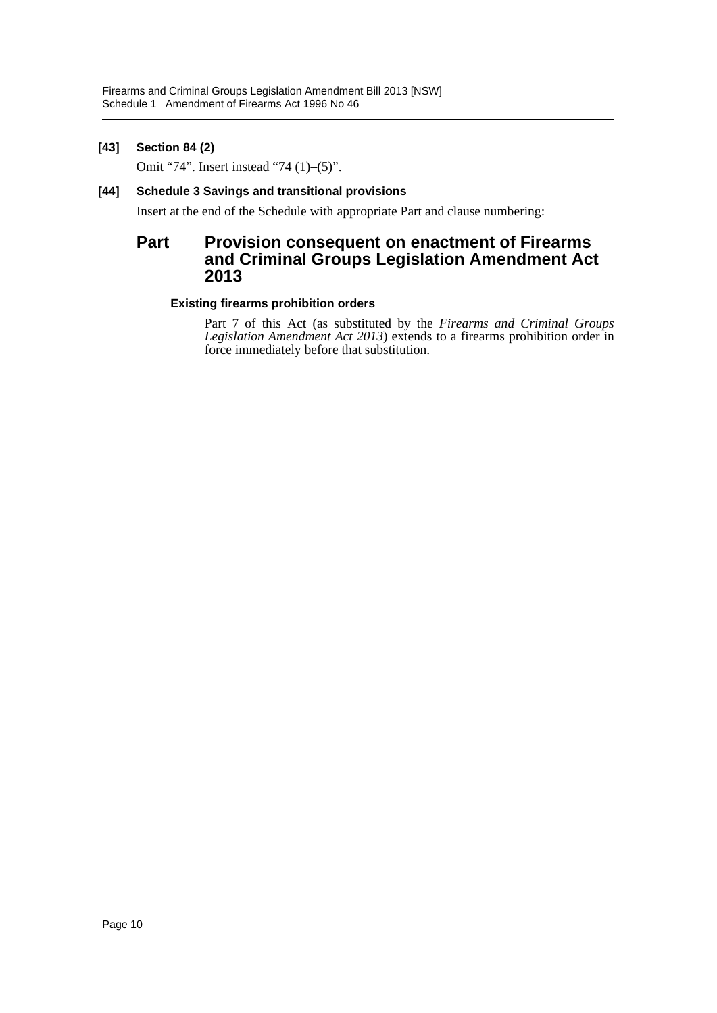## **[43] Section 84 (2)**

Omit "74". Insert instead "74 (1)–(5)".

## **[44] Schedule 3 Savings and transitional provisions**

Insert at the end of the Schedule with appropriate Part and clause numbering:

## **Part Provision consequent on enactment of Firearms and Criminal Groups Legislation Amendment Act 2013**

## **Existing firearms prohibition orders**

Part 7 of this Act (as substituted by the *Firearms and Criminal Groups Legislation Amendment Act 2013*) extends to a firearms prohibition order in force immediately before that substitution.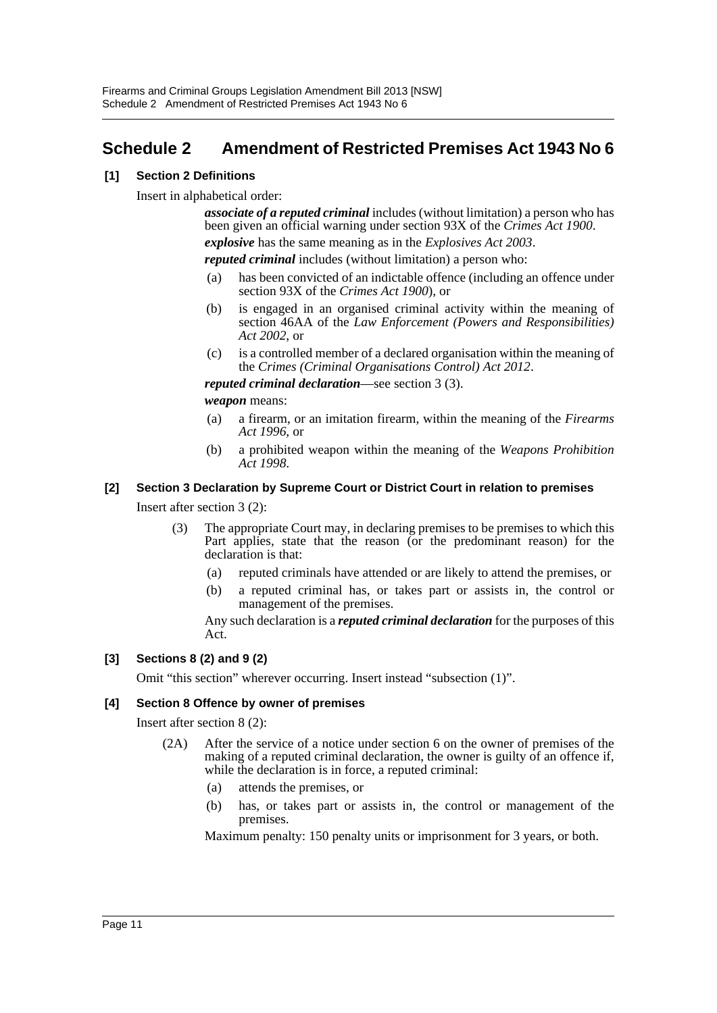## <span id="page-11-0"></span>**Schedule 2 Amendment of Restricted Premises Act 1943 No 6**

## **[1] Section 2 Definitions**

Insert in alphabetical order:

*associate of a reputed criminal* includes (without limitation) a person who has been given an official warning under section 93X of the *Crimes Act 1900*.

*explosive* has the same meaning as in the *Explosives Act 2003*.

*reputed criminal* includes (without limitation) a person who:

- (a) has been convicted of an indictable offence (including an offence under section 93X of the *Crimes Act 1900*), or
- (b) is engaged in an organised criminal activity within the meaning of section 46AA of the *Law Enforcement (Powers and Responsibilities) Act 2002*, or
- (c) is a controlled member of a declared organisation within the meaning of the *Crimes (Criminal Organisations Control) Act 2012*.

*reputed criminal declaration*—see section 3 (3).

*weapon* means:

- (a) a firearm, or an imitation firearm, within the meaning of the *Firearms Act 1996*, or
- (b) a prohibited weapon within the meaning of the *Weapons Prohibition Act 1998*.

## **[2] Section 3 Declaration by Supreme Court or District Court in relation to premises**

Insert after section 3 (2):

- (3) The appropriate Court may, in declaring premises to be premises to which this Part applies, state that the reason (or the predominant reason) for the declaration is that:
	- (a) reputed criminals have attended or are likely to attend the premises, or
	- (b) a reputed criminal has, or takes part or assists in, the control or management of the premises.

Any such declaration is a *reputed criminal declaration* for the purposes of this Act.

## **[3] Sections 8 (2) and 9 (2)**

Omit "this section" wherever occurring. Insert instead "subsection (1)".

## **[4] Section 8 Offence by owner of premises**

Insert after section 8 (2):

- (2A) After the service of a notice under section 6 on the owner of premises of the making of a reputed criminal declaration, the owner is guilty of an offence if, while the declaration is in force, a reputed criminal:
	- (a) attends the premises, or
	- (b) has, or takes part or assists in, the control or management of the premises.

Maximum penalty: 150 penalty units or imprisonment for 3 years, or both.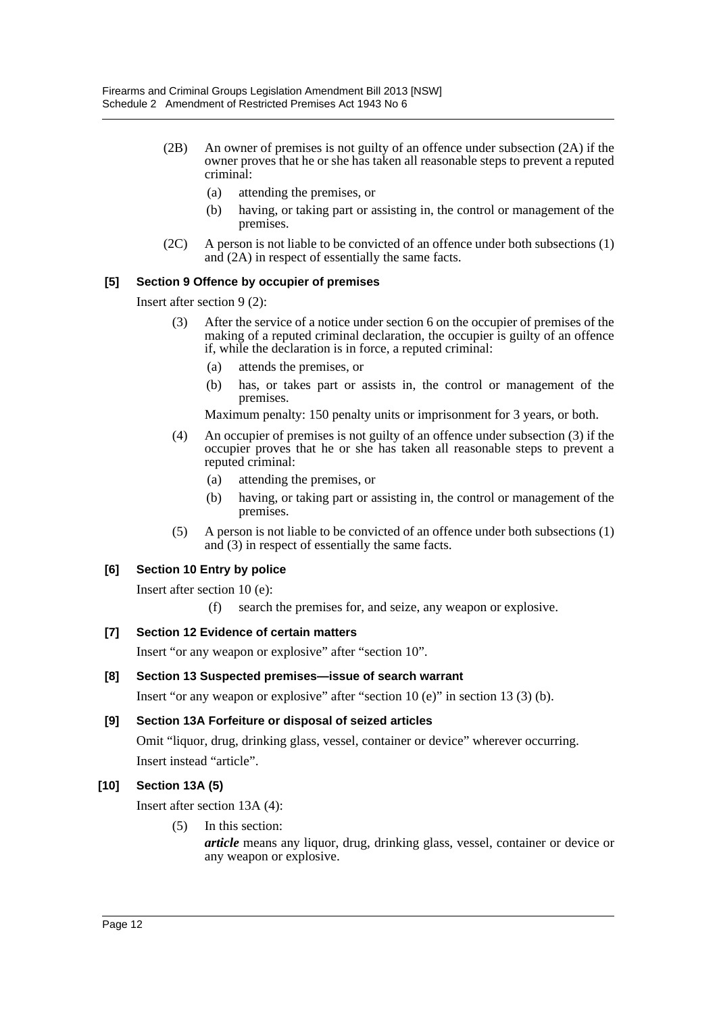- (2B) An owner of premises is not guilty of an offence under subsection (2A) if the owner proves that he or she has taken all reasonable steps to prevent a reputed criminal:
	- (a) attending the premises, or
	- (b) having, or taking part or assisting in, the control or management of the premises.
- (2C) A person is not liable to be convicted of an offence under both subsections (1) and (2A) in respect of essentially the same facts.

## **[5] Section 9 Offence by occupier of premises**

Insert after section 9 (2):

- (3) After the service of a notice under section 6 on the occupier of premises of the making of a reputed criminal declaration, the occupier is guilty of an offence if, while the declaration is in force, a reputed criminal:
	- (a) attends the premises, or
	- (b) has, or takes part or assists in, the control or management of the premises.

Maximum penalty: 150 penalty units or imprisonment for 3 years, or both.

- (4) An occupier of premises is not guilty of an offence under subsection (3) if the occupier proves that he or she has taken all reasonable steps to prevent a reputed criminal:
	- (a) attending the premises, or
	- (b) having, or taking part or assisting in, the control or management of the premises.
- (5) A person is not liable to be convicted of an offence under both subsections (1) and (3) in respect of essentially the same facts.

## **[6] Section 10 Entry by police**

Insert after section 10 (e):

(f) search the premises for, and seize, any weapon or explosive.

## **[7] Section 12 Evidence of certain matters**

Insert "or any weapon or explosive" after "section 10".

## **[8] Section 13 Suspected premises—issue of search warrant**

Insert "or any weapon or explosive" after "section 10 (e)" in section 13 (3) (b).

## **[9] Section 13A Forfeiture or disposal of seized articles**

Omit "liquor, drug, drinking glass, vessel, container or device" wherever occurring. Insert instead "article".

## **[10] Section 13A (5)**

Insert after section 13A (4):

(5) In this section:

*article* means any liquor, drug, drinking glass, vessel, container or device or any weapon or explosive.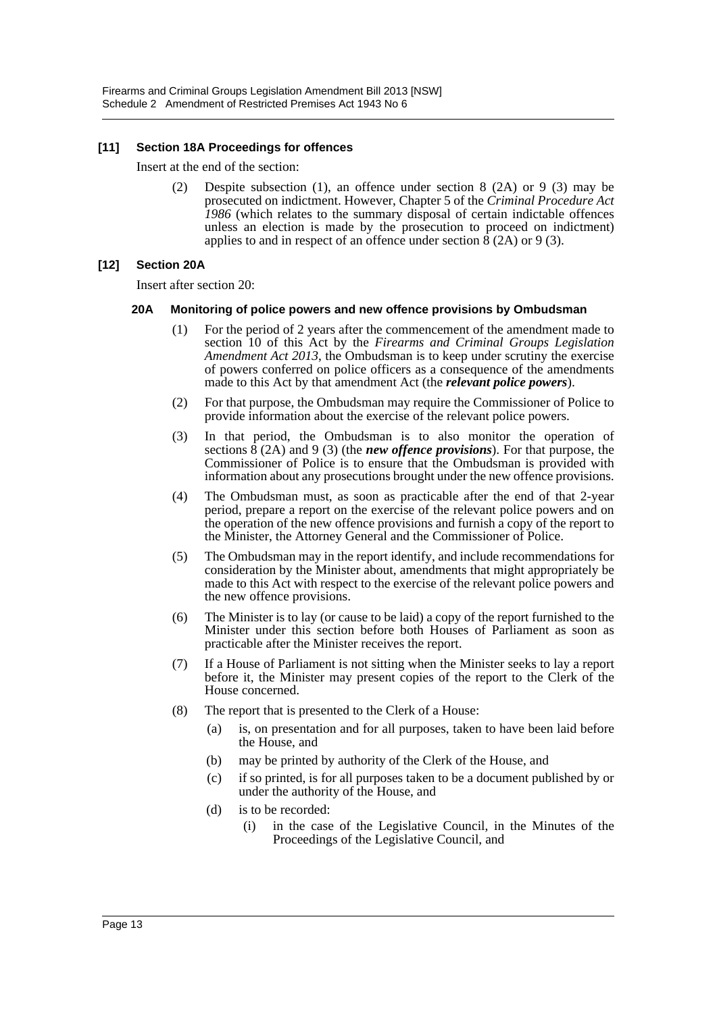## **[11] Section 18A Proceedings for offences**

Insert at the end of the section:

(2) Despite subsection (1), an offence under section 8 (2A) or 9 (3) may be prosecuted on indictment. However, Chapter 5 of the *Criminal Procedure Act 1986* (which relates to the summary disposal of certain indictable offences unless an election is made by the prosecution to proceed on indictment) applies to and in respect of an offence under section 8 (2A) or 9 (3).

## **[12] Section 20A**

Insert after section 20:

## **20A Monitoring of police powers and new offence provisions by Ombudsman**

- (1) For the period of 2 years after the commencement of the amendment made to section 10 of this Act by the *Firearms and Criminal Groups Legislation Amendment Act 2013*, the Ombudsman is to keep under scrutiny the exercise of powers conferred on police officers as a consequence of the amendments made to this Act by that amendment Act (the *relevant police powers*).
- (2) For that purpose, the Ombudsman may require the Commissioner of Police to provide information about the exercise of the relevant police powers.
- (3) In that period, the Ombudsman is to also monitor the operation of sections  $\hat{8}$  (2A) and 9 (3) (the *new offence provisions*). For that purpose, the Commissioner of Police is to ensure that the Ombudsman is provided with information about any prosecutions brought under the new offence provisions.
- (4) The Ombudsman must, as soon as practicable after the end of that 2-year period, prepare a report on the exercise of the relevant police powers and on the operation of the new offence provisions and furnish a copy of the report to the Minister, the Attorney General and the Commissioner of Police.
- (5) The Ombudsman may in the report identify, and include recommendations for consideration by the Minister about, amendments that might appropriately be made to this Act with respect to the exercise of the relevant police powers and the new offence provisions.
- (6) The Minister is to lay (or cause to be laid) a copy of the report furnished to the Minister under this section before both Houses of Parliament as soon as practicable after the Minister receives the report.
- (7) If a House of Parliament is not sitting when the Minister seeks to lay a report before it, the Minister may present copies of the report to the Clerk of the House concerned.
- (8) The report that is presented to the Clerk of a House:
	- (a) is, on presentation and for all purposes, taken to have been laid before the House, and
	- (b) may be printed by authority of the Clerk of the House, and
	- (c) if so printed, is for all purposes taken to be a document published by or under the authority of the House, and
	- (d) is to be recorded:
		- (i) in the case of the Legislative Council, in the Minutes of the Proceedings of the Legislative Council, and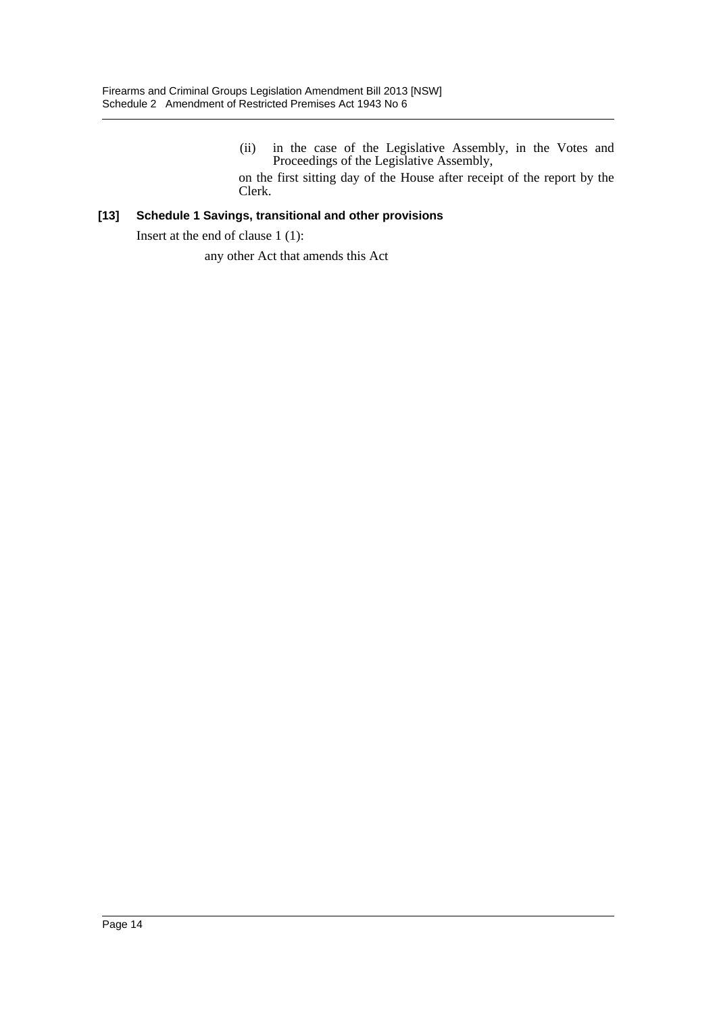(ii) in the case of the Legislative Assembly, in the Votes and Proceedings of the Legislative Assembly, on the first sitting day of the House after receipt of the report by the

Clerk.

## **[13] Schedule 1 Savings, transitional and other provisions**

Insert at the end of clause 1 (1):

any other Act that amends this Act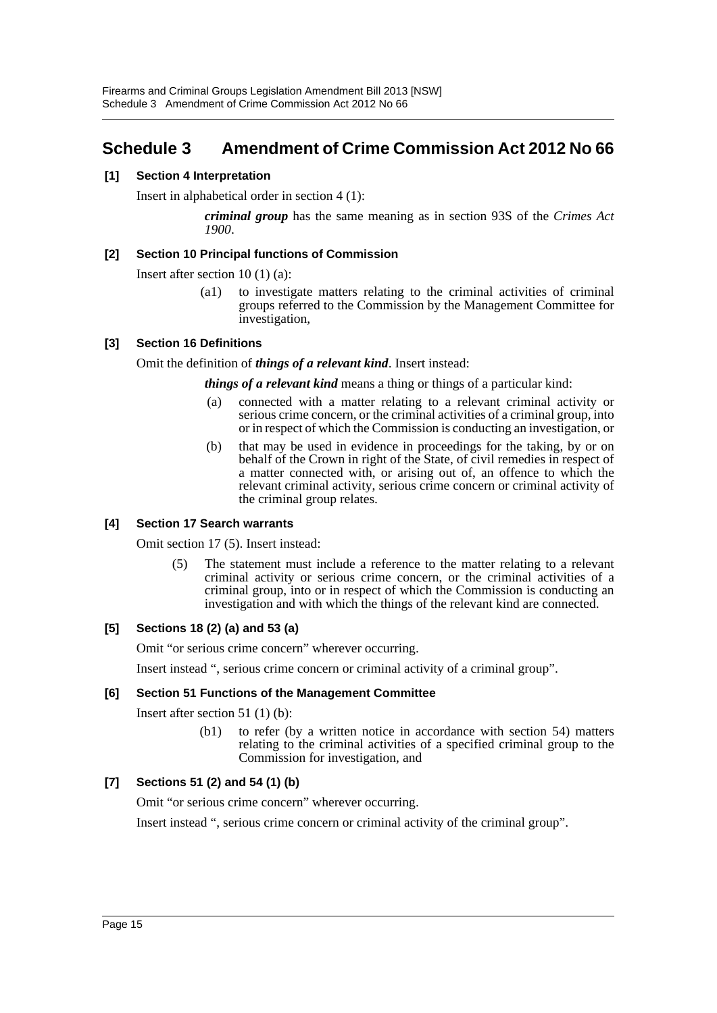## <span id="page-15-0"></span>**Schedule 3 Amendment of Crime Commission Act 2012 No 66**

## **[1] Section 4 Interpretation**

Insert in alphabetical order in section 4 (1):

*criminal group* has the same meaning as in section 93S of the *Crimes Act 1900*.

## **[2] Section 10 Principal functions of Commission**

Insert after section 10 (1) (a):

(a1) to investigate matters relating to the criminal activities of criminal groups referred to the Commission by the Management Committee for investigation,

## **[3] Section 16 Definitions**

Omit the definition of *things of a relevant kind*. Insert instead:

*things of a relevant kind* means a thing or things of a particular kind:

- (a) connected with a matter relating to a relevant criminal activity or serious crime concern, or the criminal activities of a criminal group, into or in respect of which the Commission is conducting an investigation, or
- (b) that may be used in evidence in proceedings for the taking, by or on behalf of the Crown in right of the State, of civil remedies in respect of a matter connected with, or arising out of, an offence to which the relevant criminal activity, serious crime concern or criminal activity of the criminal group relates.

## **[4] Section 17 Search warrants**

Omit section 17 (5). Insert instead:

(5) The statement must include a reference to the matter relating to a relevant criminal activity or serious crime concern, or the criminal activities of a criminal group, into or in respect of which the Commission is conducting an investigation and with which the things of the relevant kind are connected.

## **[5] Sections 18 (2) (a) and 53 (a)**

Omit "or serious crime concern" wherever occurring.

Insert instead ", serious crime concern or criminal activity of a criminal group".

## **[6] Section 51 Functions of the Management Committee**

Insert after section 51 (1) (b):

(b1) to refer (by a written notice in accordance with section 54) matters relating to the criminal activities of a specified criminal group to the Commission for investigation, and

## **[7] Sections 51 (2) and 54 (1) (b)**

Omit "or serious crime concern" wherever occurring.

Insert instead ", serious crime concern or criminal activity of the criminal group".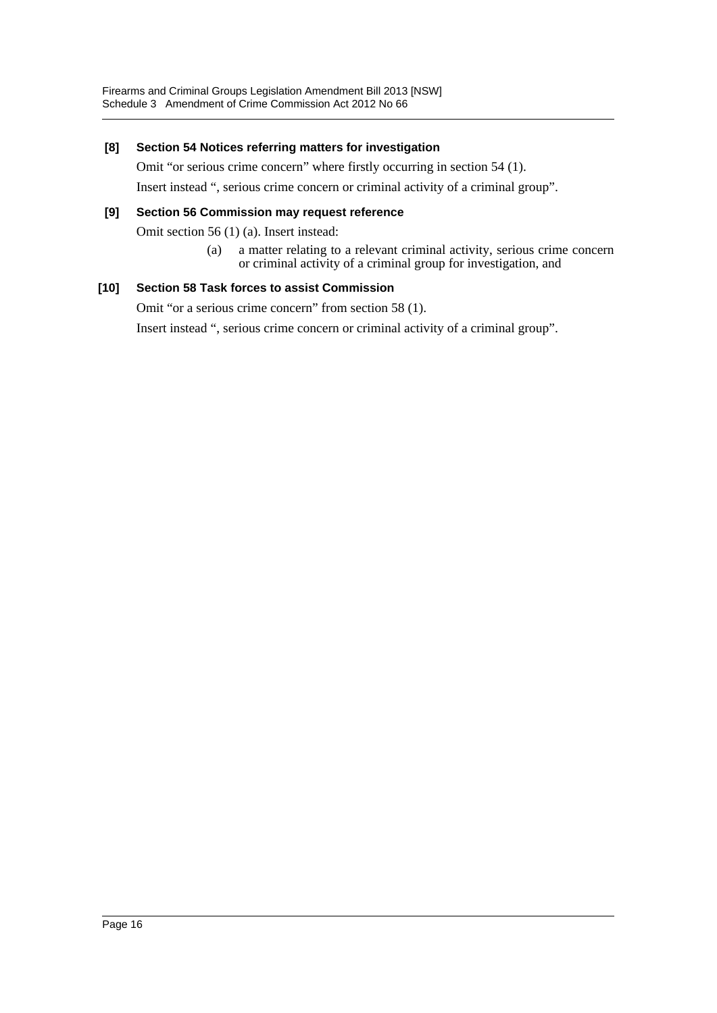## **[8] Section 54 Notices referring matters for investigation**

Omit "or serious crime concern" where firstly occurring in section 54 (1).

Insert instead ", serious crime concern or criminal activity of a criminal group".

## **[9] Section 56 Commission may request reference**

Omit section 56 (1) (a). Insert instead:

(a) a matter relating to a relevant criminal activity, serious crime concern or criminal activity of a criminal group for investigation, and

## **[10] Section 58 Task forces to assist Commission**

Omit "or a serious crime concern" from section 58 (1).

Insert instead ", serious crime concern or criminal activity of a criminal group".